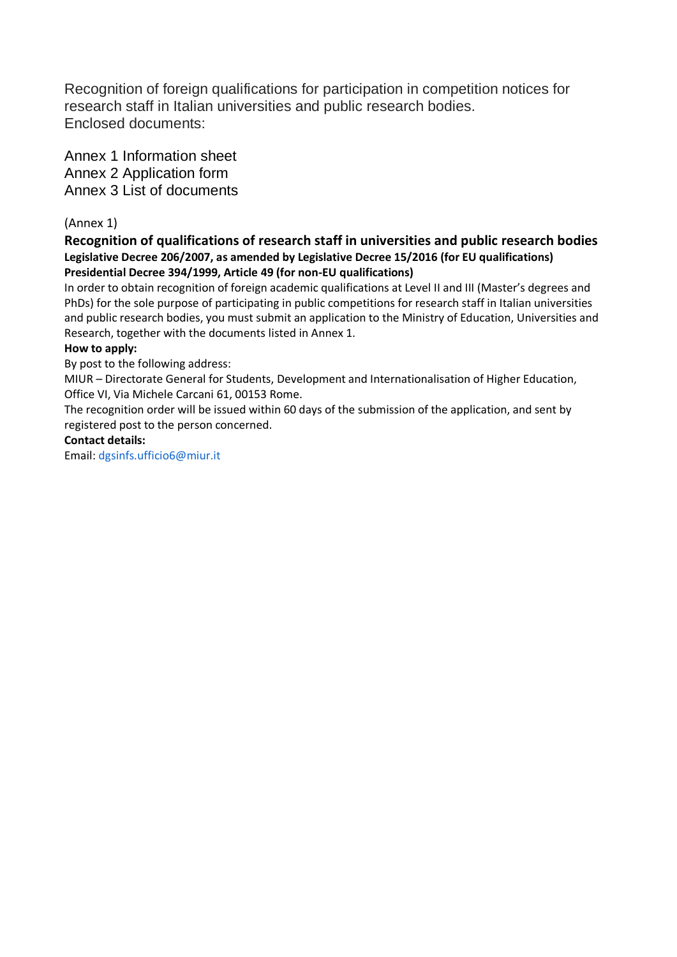Recognition of foreign qualifications for participation in competition notices for research staff in Italian universities and public research bodies. Enclosed documents:

Annex 1 Information sheet Annex 2 Application form Annex 3 List of documents

# (Annex 1)

### **Recognition of qualifications of research staff in universities and public research bodies Legislative Decree 206/2007, as amended by Legislative Decree 15/2016 (for EU qualifications) Presidential Decree 394/1999, Article 49 (for non-EU qualifications)**

In order to obtain recognition of foreign academic qualifications at Level II and III (Master's degrees and PhDs) for the sole purpose of participating in public competitions for research staff in Italian universities and public research bodies, you must submit an application to the Ministry of Education, Universities and Research, together with the documents listed in Annex 1.

### **How to apply:**

By post to the following address:

MIUR – Directorate General for Students, Development and Internationalisation of Higher Education, Office VI, Via Michele Carcani 61, 00153 Rome.

The recognition order will be issued within 60 days of the submission of the application, and sent by registered post to the person concerned.

### **Contact details:**

Email[: dgsinfs.ufficio6@miur.it](mailto:dgsinfs.ufficio6@miur.it)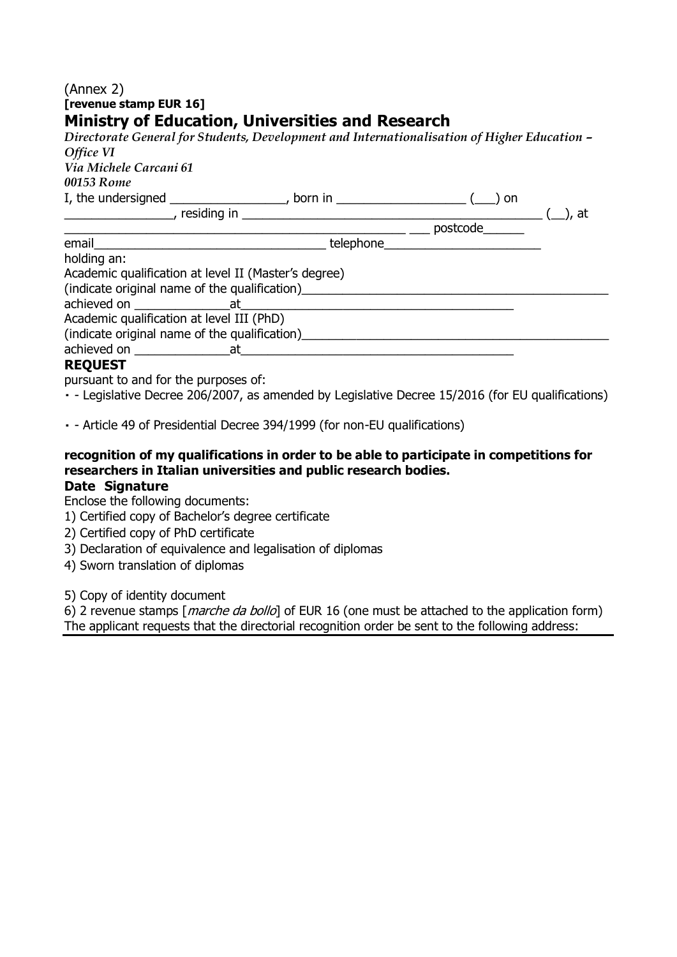# (Annex 2) **[revenue stamp EUR 16] Ministry of Education, Universities and Research**

| Directorate General for Students, Development and Internationalisation of Higher Education -<br>Office VI |                                      |  |
|-----------------------------------------------------------------------------------------------------------|--------------------------------------|--|
| Via Michele Carcani 61                                                                                    |                                      |  |
| 00153 Rome                                                                                                |                                      |  |
| I, the undersigned $\frac{1}{\sqrt{2}}$ born in $\frac{1}{\sqrt{2}}$ on                                   |                                      |  |
|                                                                                                           |                                      |  |
|                                                                                                           | $\frac{1}{2}$ postcode $\frac{1}{2}$ |  |
|                                                                                                           | telephone <u>telephone</u>           |  |
| holding an:                                                                                               |                                      |  |
| Academic qualification at level II (Master's degree)                                                      |                                      |  |
| (indicate original name of the qualification)                                                             |                                      |  |
|                                                                                                           |                                      |  |
| Academic qualification at level III (PhD)                                                                 |                                      |  |
| (indicate original name of the qualification)                                                             |                                      |  |
|                                                                                                           |                                      |  |
| <b>REQUEST</b>                                                                                            |                                      |  |
|                                                                                                           |                                      |  |

pursuant to and for the purposes of:

- Legislative Decree 206/2007, as amended by Legislative Decree 15/2016 (for EU qualifications)

- Article 49 of Presidential Decree 394/1999 (for non-EU qualifications)

# **recognition of my qualifications in order to be able to participate in competitions for researchers in Italian universities and public research bodies.**

# **Date Signature**

Enclose the following documents:

- 1) Certified copy of Bachelor's degree certificate
- 2) Certified copy of PhD certificate
- 3) Declaration of equivalence and legalisation of diplomas
- 4) Sworn translation of diplomas

5) Copy of identity document

6) 2 revenue stamps [*marche da bollo*] of EUR 16 (one must be attached to the application form) The applicant requests that the directorial recognition order be sent to the following address: